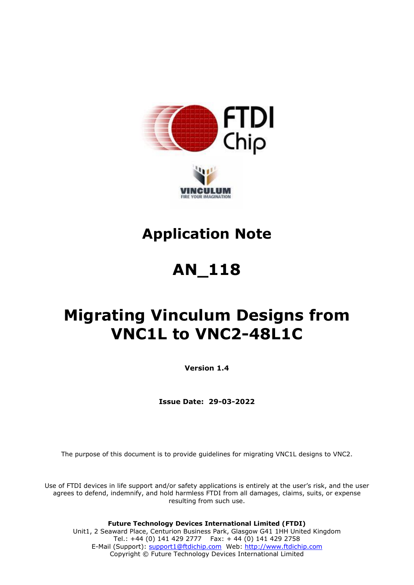



# **Application Note**

# **AN\_118**

# **Migrating Vinculum Designs from VNC1L to VNC2-48L1C**

**Version 1.4**

**Issue Date: 29-03-2022**

The purpose of this document is to provide guidelines for migrating VNC1L designs to VNC2.

Use of FTDI devices in life support and/or safety applications is entirely at the user's risk, and the user agrees to defend, indemnify, and hold harmless FTDI from all damages, claims, suits, or expense resulting from such use.

**Future Technology Devices International Limited (FTDI)** Unit1, 2 Seaward Place, Centurion Business Park, Glasgow G41 1HH United Kingdom Tel.: +44 (0) 141 429 2777 Fax: + 44 (0) 141 429 2758 E-Mail (Support): [support1@ftdichip.com](mailto:support1@ftdichip.com) Web: [http://www.ftdichip.com](http://www.ftdichip.com/) Copyright © Future Technology Devices International Limited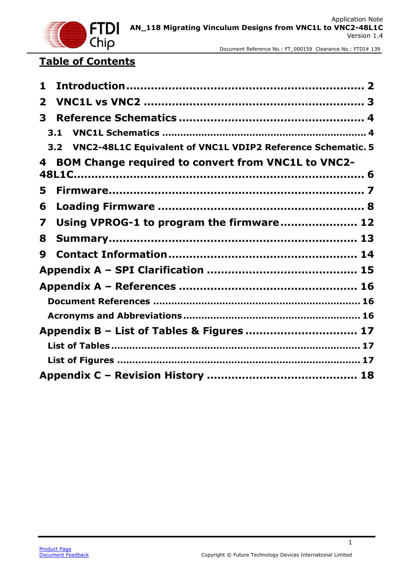

## **Table of Contents**

| 1            |                                                                 |  |
|--------------|-----------------------------------------------------------------|--|
| $\mathbf{2}$ |                                                                 |  |
| 3            |                                                                 |  |
|              | 3.1                                                             |  |
|              | 3.2 VNC2-48L1C Equivalent of VNC1L VDIP2 Reference Schematic. 5 |  |
| 4            | <b>BOM Change required to convert from VNC1L to VNC2-</b>       |  |
| 5            |                                                                 |  |
| 6            |                                                                 |  |
| 7            | Using VPROG-1 to program the firmware 12                        |  |
| 8            |                                                                 |  |
| 9            |                                                                 |  |
|              |                                                                 |  |
|              |                                                                 |  |
|              |                                                                 |  |
|              |                                                                 |  |
|              | Appendix B - List of Tables & Figures  17                       |  |
|              |                                                                 |  |
|              |                                                                 |  |
|              |                                                                 |  |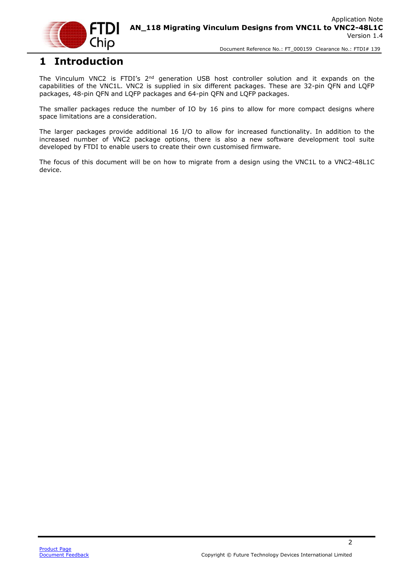

### <span id="page-2-0"></span>**1 Introduction**

The Vinculum VNC2 is FTDI's 2<sup>nd</sup> generation USB host controller solution and it expands on the capabilities of the VNC1L. VNC2 is supplied in six different packages. These are 32-pin QFN and LQFP packages, 48-pin QFN and LQFP packages and 64-pin QFN and LQFP packages.

The smaller packages reduce the number of IO by 16 pins to allow for more compact designs where space limitations are a consideration.

The larger packages provide additional 16 I/O to allow for increased functionality. In addition to the increased number of VNC2 package options, there is also a new software development tool suite developed by FTDI to enable users to create their own customised firmware.

The focus of this document will be on how to migrate from a design using the VNC1L to a VNC2-48L1C device.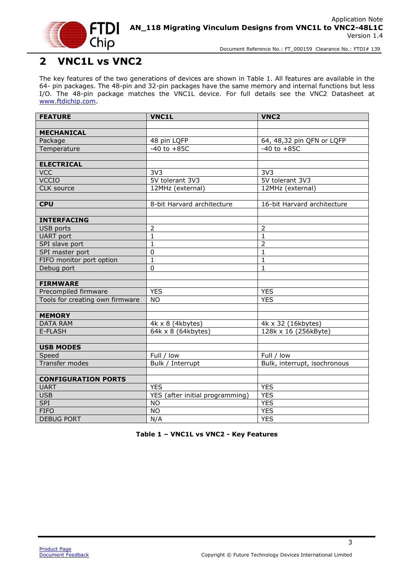

### <span id="page-3-0"></span>**2 VNC1L vs VNC2**

The key features of the two generations of devices are shown in [Table 1.](#page-3-1) All features are available in the 64- pin packages. The 48-pin and 32-pin packages have the same memory and internal functions but less I/O. The 48-pin package matches the VNC1L device. For full details see the VNC2 Datasheet at [www.ftdichip.com.](http://www.ftdichip.com/)

| <b>FEATURE</b>                  | <b>VNC1L</b>                     | VNC <sub>2</sub>             |
|---------------------------------|----------------------------------|------------------------------|
|                                 |                                  |                              |
| <b>MECHANICAL</b>               |                                  |                              |
| Package                         | 48 pin LQFP                      | 64, 48,32 pin QFN or LQFP    |
| Temperature                     | $-40$ to $+85C$                  | $-40$ to $+85C$              |
|                                 |                                  |                              |
| <b>ELECTRICAL</b>               |                                  |                              |
| <b>VCC</b>                      | $\overline{3V3}$                 | 3V <sub>3</sub>              |
| <b>VCCIO</b>                    | 5V tolerant 3V3                  | 5V tolerant 3V3              |
| <b>CLK</b> source               | 12MHz (external)                 | 12MHz (external)             |
|                                 |                                  |                              |
| <b>CPU</b>                      | 8-bit Harvard architecture       | 16-bit Harvard architecture  |
|                                 |                                  |                              |
| <b>INTERFACING</b>              |                                  |                              |
| USB ports                       | $\overline{2}$                   | $\overline{2}$               |
| <b>UART</b> port                | $\overline{1}$                   | $\overline{1}$               |
| SPI slave port                  | $\mathbf{1}$                     | $\overline{2}$               |
| SPI master port                 | $\mathbf 0$                      | $\mathbf{1}$                 |
| FIFO monitor port option        | $\mathbf 1$                      | $\mathbf 1$                  |
| Debug port                      | $\mathbf 0$                      | $\mathbf{1}$                 |
|                                 |                                  |                              |
| <b>FIRMWARE</b>                 |                                  |                              |
| Precompiled firmware            | <b>YES</b>                       | <b>YES</b>                   |
| Tools for creating own firmware | <b>NO</b>                        | <b>YES</b>                   |
|                                 |                                  |                              |
| <b>MEMORY</b>                   |                                  |                              |
| <b>DATA RAM</b>                 | 4k x 8 (4kbytes)                 | 4k x 32 (16kbytes)           |
| E-FLASH                         | $\sqrt{64k \times 8}$ (64kbytes) | 128k x 16 (256kByte)         |
|                                 |                                  |                              |
| <b>USB MODES</b>                |                                  |                              |
| Speed                           | Full / low                       | Full / low                   |
| Transfer modes                  | Bulk / Interrupt                 | Bulk, interrupt, isochronous |
|                                 |                                  |                              |
| <b>CONFIGURATION PORTS</b>      |                                  |                              |
| <b>UART</b>                     | <b>YES</b>                       | <b>YES</b>                   |
| <b>USB</b>                      | YES (after initial programming)  | <b>YES</b>                   |
| <b>SPI</b>                      | <b>NO</b>                        | <b>YES</b>                   |
| <b>FIFO</b>                     | <b>NO</b>                        | <b>YES</b>                   |
| <b>DEBUG PORT</b>               | N/A                              | <b>YES</b>                   |

<span id="page-3-1"></span>**Table 1 – VNC1L vs VNC2 - Key Features**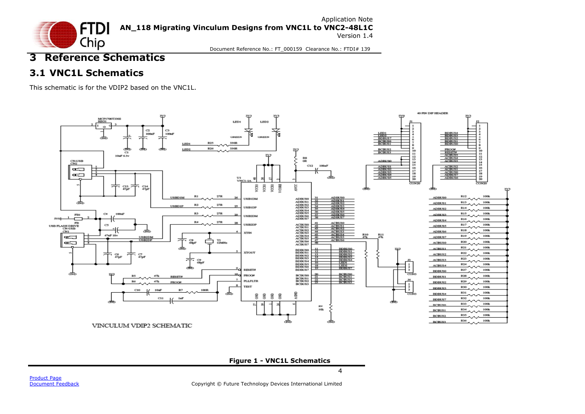

### **3 Reference Schematics**

### **3.1 VNC1L Schematics**

This schematic is for the VDIP2 based on the VNC1L.

<span id="page-4-1"></span><span id="page-4-0"></span>

<span id="page-4-2"></span>**Figure 1 - VNC1L Schematics**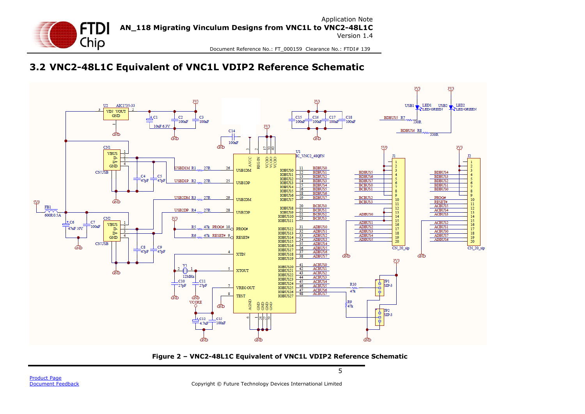

### **3.2 VNC2-48L1C Equivalent of VNC1L VDIP2 Reference Schematic**

<span id="page-5-0"></span>

<span id="page-5-1"></span>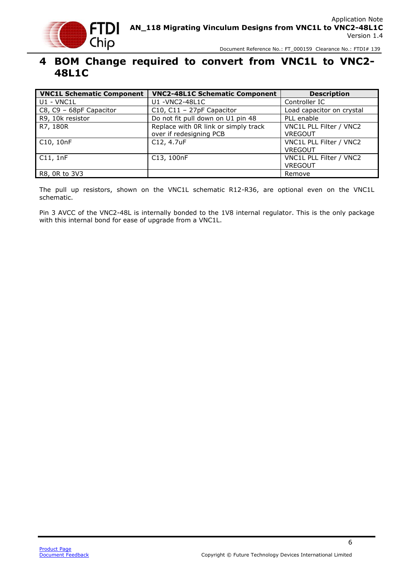

### <span id="page-6-0"></span>**4 BOM Change required to convert from VNC1L to VNC2- 48L1C**

| <b>VNC1L Schematic Component</b> | <b>VNC2-48L1C Schematic Component</b>                           | <b>Description</b>                        |
|----------------------------------|-----------------------------------------------------------------|-------------------------------------------|
| U1 - VNC1L                       | U1 - VNC2-48L1C                                                 | Controller IC                             |
| C8, C9 - 68pF Capacitor          | C10, C11 - 27pF Capacitor                                       | Load capacitor on crystal                 |
| R9, 10k resistor                 | Do not fit pull down on U1 pin 48                               | PLL enable                                |
| R7, 180R                         | Replace with OR link or simply track<br>over if redesigning PCB | VNC1L PLL Filter / VNC2<br><b>VREGOUT</b> |
| C10, 10nF                        | C12, 4.7uF                                                      | VNC1L PLL Filter / VNC2<br><b>VREGOUT</b> |
| C11.1nF                          | C13, 100nF                                                      | VNC1L PLL Filter / VNC2<br><b>VREGOUT</b> |
| R8, 0R to 3V3                    |                                                                 | Remove                                    |

The pull up resistors, shown on the VNC1L schematic R12-R36, are optional even on the VNC1L schematic.

Pin 3 AVCC of the VNC2-48L is internally bonded to the 1V8 internal regulator. This is the only package with this internal bond for ease of upgrade from a VNC1L.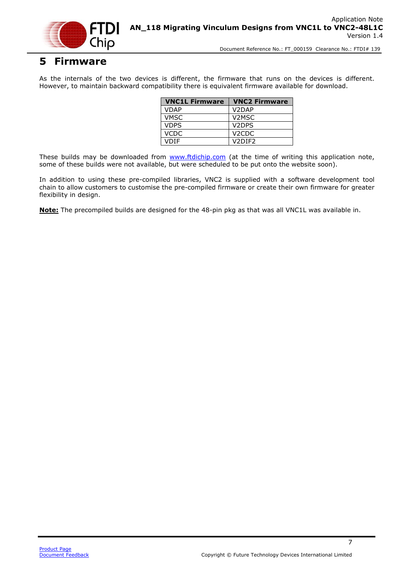

### <span id="page-7-0"></span>**5 Firmware**

As the internals of the two devices is different, the firmware that runs on the devices is different. However, to maintain backward compatibility there is equivalent firmware available for download.

| <b>VNC1L Firmware</b> | <b>VNC2 Firmware</b>            |
|-----------------------|---------------------------------|
| <b>VDAP</b>           | V <sub>2</sub> DAP              |
| <b>VMSC</b>           | V <sub>2</sub> MSC              |
| <b>VDPS</b>           | V <sub>2</sub> DPS              |
| <b>VCDC</b>           | V <sub>2</sub> CDC              |
| VDIE                  | V <sub>2</sub> DIF <sub>2</sub> |

These builds may be downloaded from [www.ftdichip.com](http://www.ftdichip.com/) (at the time of writing this application note, some of these builds were not available, but were scheduled to be put onto the website soon).

In addition to using these pre-compiled libraries, VNC2 is supplied with a software development tool chain to allow customers to customise the pre-compiled firmware or create their own firmware for greater flexibility in design.

**Note:** The precompiled builds are designed for the 48-pin pkg as that was all VNC1L was available in.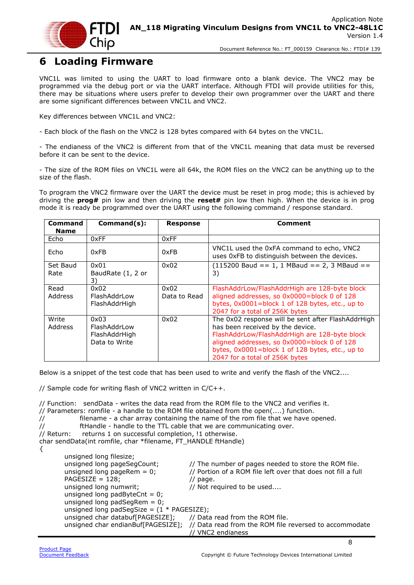

### <span id="page-8-0"></span>**6 Loading Firmware**

VNC1L was limited to using the UART to load firmware onto a blank device. The VNC2 may be programmed via the debug port or via the UART interface. Although FTDI will provide utilities for this, there may be situations where users prefer to develop their own programmer over the UART and there are some significant differences between VNC1L and VNC2.

Key differences between VNC1L and VNC2:

- Each block of the flash on the VNC2 is 128 bytes compared with 64 bytes on the VNC1L.

- The endianess of the VNC2 is different from that of the VNC1L meaning that data must be reversed before it can be sent to the device.

- The size of the ROM files on VNC1L were all 64k, the ROM files on the VNC2 can be anything up to the size of the flash.

To program the VNC2 firmware over the UART the device must be reset in prog mode; this is achieved by driving the **prog#** pin low and then driving the **reset#** pin low then high. When the device is in prog mode it is ready be programmed over the UART using the following command / response standard.

| Command     | $Commonand(s)$ :  | <b>Response</b> | Comment                                                                                    |
|-------------|-------------------|-----------------|--------------------------------------------------------------------------------------------|
| <b>Name</b> |                   |                 |                                                                                            |
| Echo        | 0xFF              | 0xFF            |                                                                                            |
| Echo        | 0xFB              | 0xFB            | VNC1L used the 0xFA command to echo, VNC2<br>uses 0xFB to distinguish between the devices. |
| Set Baud    | 0x01              | 0x02            | $(115200$ Baud == 1, 1 MBaud == 2, 3 MBaud ==                                              |
| Rate        | BaudRate (1, 2 or |                 | 3)                                                                                         |
|             | 3)                |                 |                                                                                            |
| Read        | 0x02              | 0x02            | FlashAddrLow/FlashAddrHigh are 128-byte block                                              |
| Address     | FlashAddrLow      | Data to Read    | aligned addresses, so 0x0000=block 0 of 128                                                |
|             | FlashAddrHigh     |                 | bytes, 0x0001=block 1 of 128 bytes, etc., up to                                            |
|             |                   |                 | 2047 for a total of 256K bytes                                                             |
| Write       | 0x03              | 0x02            | The 0x02 response will be sent after FlashAddrHigh                                         |
| Address     | FlashAddrLow      |                 | has been received by the device.                                                           |
|             | FlashAddrHigh     |                 | FlashAddrLow/FlashAddrHigh are 128-byte block                                              |
|             | Data to Write     |                 | aligned addresses, so 0x0000=block 0 of 128                                                |
|             |                   |                 | bytes, 0x0001=block 1 of 128 bytes, etc., up to                                            |
|             |                   |                 | 2047 for a total of 256K bytes                                                             |

Below is a snippet of the test code that has been used to write and verify the flash of the VNC2....

// Sample code for writing flash of VNC2 written in C/C++.

// Function: sendData - writes the data read from the ROM file to the VNC2 and verifies it. // Parameters: romfile - a handle to the ROM file obtained from the open(....) function. // filename - a char array containing the name of the rom file that we have opened.  $\frac{1}{10}$  ftHandle - handle to the TTL cable that we are communicating over.<br>// Return: returns 1 on successful completion, !1 otherwise. returns 1 on successful completion, !1 otherwise. char sendData(int romfile, char \*filename, FT\_HANDLE ftHandle) { unsigned long filesize; unsigned long pageSegCount; // The number of pages needed to store the ROM file. unsigned long pageRem  $= 0$ ; // Portion of a ROM file left over that does not fill a full  $PAGESIZE = 128;$  // page. unsigned long numwrit;  $\frac{1}{2}$  // Not required to be used.... unsigned long padByteCnt =  $0$ ; unsigned long padSegRem =  $0$ ; unsigned long padSegSize =  $(1 * PAGESIZE)$ ; unsigned char databuf[PAGESIZE]; // Data read from the ROM file. unsigned char endianBuf[PAGESIZE]; // Data read from the ROM file reversed to accommodate // VNC2 endianess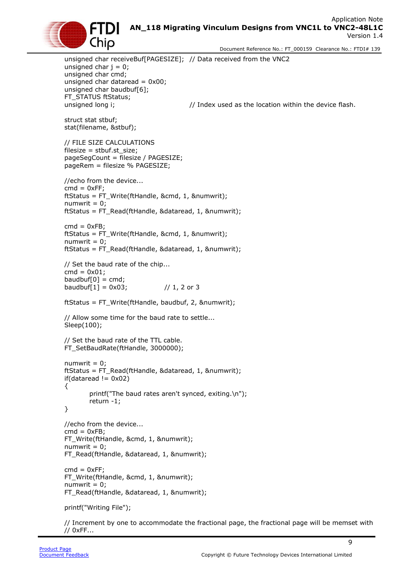### Application Note **AN\_118 Migrating Vinculum Designs from VNC1L to VNC2-48L1C** Version 1.4



Document Reference No.: FT\_000159 Clearance No.: FTDI# 139

unsigned char receiveBuf[PAGESIZE]; // Data received from the VNC2 unsigned char  $j = 0$ ; unsigned char cmd; unsigned char dataread =  $0x00$ ; unsigned char baudbuf[6]; FT\_STATUS ftStatus; unsigned long i;  $\frac{1}{2}$  // Index used as the location within the device flash. struct stat stbuf; stat(filename, &stbuf); // FILE SIZE CALCULATIONS filesize =  $sthuf.st$  size: pageSegCount = filesize / PAGESIZE; pageRem = filesize % PAGESIZE; //echo from the device...  $cmd = 0xFF;$ ftStatus = FT\_Write(ftHandle, &cmd, 1, &numwrit);  $numwrit = 0$ : ftStatus = FT\_Read(ftHandle, &dataread, 1, &numwrit);  $cmd = 0xFB$ : ftStatus = FT\_Write(ftHandle, &cmd, 1, &numwrit);  $numwrit = 0;$ ftStatus = FT\_Read(ftHandle, &dataread, 1, &numwrit); // Set the baud rate of the chip... cmd =  $0x01$ ; baudbuf $[0]$  = cmd; baudbuf[1] =  $0x03$ ; // 1, 2 or 3 ftStatus = FT\_Write(ftHandle, baudbuf, 2, &numwrit); // Allow some time for the baud rate to settle... Sleep(100); // Set the baud rate of the TTL cable. FT\_SetBaudRate(ftHandle, 3000000);  $numwrit = 0;$ ftStatus = FT\_Read(ftHandle, &dataread, 1, &numwrit);  $if(dataread != 0x02)$ { printf("The baud rates aren't synced, exiting.\n"); return -1; } //echo from the device...  $cmd = 0xFB$ : FT\_Write(ftHandle, &cmd, 1, &numwrit);  $numwrit = 0$ : FT\_Read(ftHandle, &dataread, 1, &numwrit);  $cmd = 0xFF;$ FT\_Write(ftHandle, &cmd, 1, &numwrit); numwrit  $= 0$ ; FT\_Read(ftHandle, &dataread, 1, &numwrit); printf("Writing File"); // Increment by one to accommodate the fractional page, the fractional page will be memset with

// 0xFF...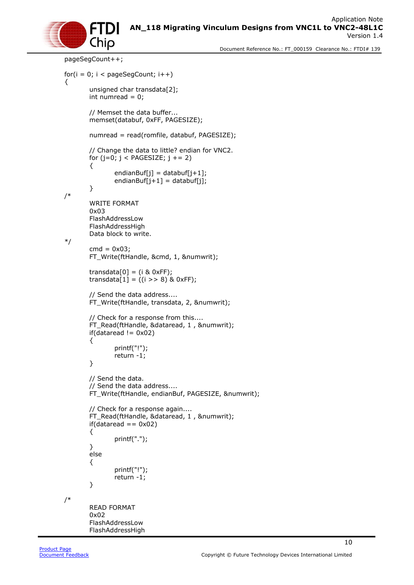

```
pageSegCount++; 
for(i = 0; i < pageSegCount; i++)
{
        unsigned char transdata[2];
       int numread = 0;
       // Memset the data buffer...
       memset(databuf, 0xFF, PAGESIZE);
       numread = read(romfile, databuf, PAGESIZE);
       // Change the data to little? endian for VNC2.
       for (j=0; j < PAGESIZE; j + = 2)
        {
                endianBuf[j] = databuf[j+1];
                endianBuf[j+1] = databuf[j];
        }
/* 
       WRITE FORMAT
        0x03
        FlashAddressLow
        FlashAddressHigh
        Data block to write.
*/
        cmd = 0x03;FT_Write(ftHandle, &cmd, 1, &numwrit);
       transdata[0] = (i \& 0 \times FF);transdata[1] = ((i \gg 8) \& 0 \times FF);// Send the data address....
       FT_Write(ftHandle, transdata, 2, &numwrit); 
       // Check for a response from this....
        FT_Read(ftHandle, &dataread, 1, &numwrit);
       if(\bar{d}ataread != 0x02){
                printf("!");
                return -1;
        }
       // Send the data.
       // Send the data address....
       FT_Write(ftHandle, endianBuf, PAGESIZE, &numwrit);
       // Check for a response again....
       FT_Read(ftHandle, &dataread, 1 , &numwrit); 
       if(dataread == 0x02){
                printf(".");
        }
       else
        {
                printf("!");
                return -1;
        }
/* 
        READ FORMAT
        0x02
        FlashAddressLow
        FlashAddressHigh
```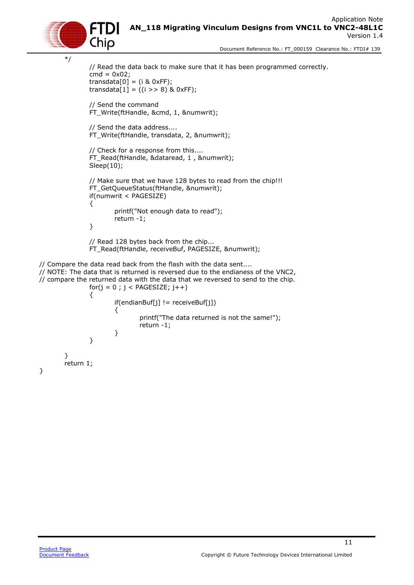```
Application Note 
AN_118 Migrating Vinculum Designs from VNC1L to VNC2-48L1C
                                                       Version 1.4
```

```
 Document Reference No.: FT_000159 Clearance No.: FTDI# 139
```

```
*/
                // Read the data back to make sure that it has been programmed correctly.
                \text{cmd} = 0 \times 02;
                transdata[0] = (i \& 0 \times FF);transdata[1] = ((i \gt 8) \& 0 \times F);
                // Send the command
                FT_Write(ftHandle, &cmd, 1, &numwrit);
                // Send the data address....
                FT_Write(ftHandle, transdata, 2, &numwrit); 
               // Check for a response from this....
                FT_Read(ftHandle, &dataread, 1 , &numwrit); 
                Sleep(10);
                // Make sure that we have 128 bytes to read from the chip!!!
                FT_GetQueueStatus(ftHandle, &numwrit);
                if(numwrit < PAGESIZE)
                {
                        printf("Not enough data to read");
                        return -1;
                }
                // Read 128 bytes back from the chip...
                FT_Read(ftHandle, receiveBuf, PAGESIZE, &numwrit);
// Compare the data read back from the flash with the data sent....
// NOTE: The data that is returned is reversed due to the endianess of the VNC2,
// compare the returned data with the data that we reversed to send to the chip.
               for(j = 0; j < PAGESIZE; j++)
                {
                        if(endianBuf[j] != receiveBuf[j])
                        {
                                printf("The data returned is not the same!");
                                return -1;
                        }
                }
        }
        return 1;
```
}

Chio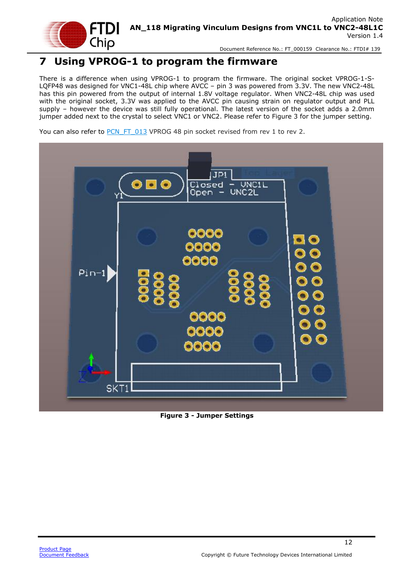

### <span id="page-12-0"></span>**7 Using VPROG-1 to program the firmware**

There is a difference when using VPROG-1 to program the firmware. The original socket VPROG-1-S-LQFP48 was designed for VNC1-48L chip where AVCC – pin 3 was powered from 3.3V. The new VNC2-48L has this pin powered from the output of internal 1.8V voltage regulator. When VNC2-48L chip was used with the original socket, 3.3V was applied to the AVCC pin causing strain on regulator output and PLL supply – however the device was still fully operational. The latest version of the socket adds a 2.0mm jumper added next to the crystal to select VNC1 or VNC2. Please refer to [Figure 3](#page-12-1) for the jumper setting.

You can also refer to [PCN\\_FT\\_013](https://ftdichip.com/wp-content/uploads/2020/08/PCN_FT_013.pdf) VPROG 48 pin socket revised from rev 1 to rev 2.



<span id="page-12-1"></span>**Figure 3 - Jumper Settings**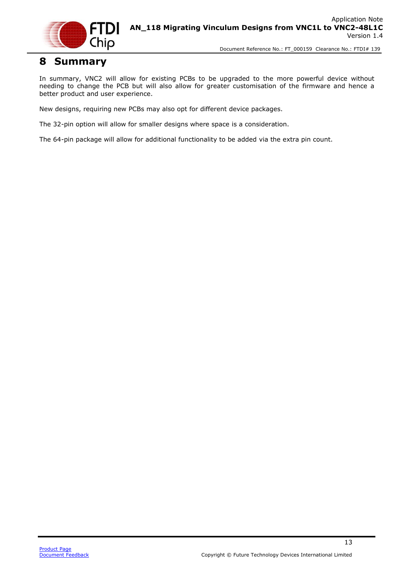

### <span id="page-13-0"></span>**8 Summary**

In summary, VNC2 will allow for existing PCBs to be upgraded to the more powerful device without needing to change the PCB but will also allow for greater customisation of the firmware and hence a better product and user experience.

New designs, requiring new PCBs may also opt for different device packages.

The 32-pin option will allow for smaller designs where space is a consideration.

The 64-pin package will allow for additional functionality to be added via the extra pin count.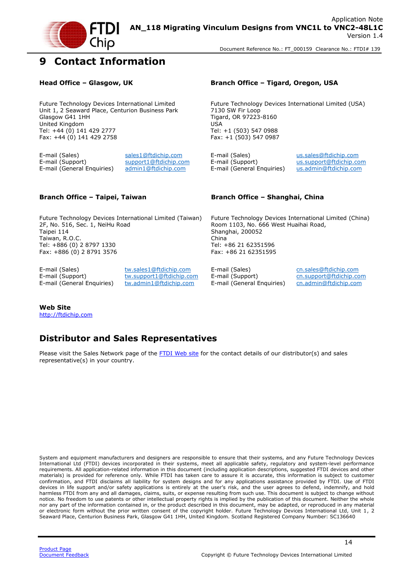

### <span id="page-14-0"></span>**9 Contact Information**

Future Technology Devices International Limited Unit 1, 2 Seaward Place, Centurion Business Park Glasgow G41 1HH United Kingdom Tel: +44 (0) 141 429 2777 Fax: +44 (0) 141 429 2758

E-mail (Sales) [sales1@ftdichip.com](mailto:sales1@ftdichip.com) E-mail (Sales) [us.sales@ftdichip.com](mailto:us.sales@ftdichip.com) E-mail (Support) [support1@ftdichip.com](mailto:support1@ftdichip.com) E-mail (Support) [us.support@ftdichip.com](mailto:us.support@ftdichip.com) E-mail (General Enquiries) [admin1@ftdichip.com](mailto:admin1@ftdichip.com) E-mail (General Enquiries) [us.admin@ftdichip.com](mailto:us.admin@ftdichip.com)

### **Head Office – Glasgow, UK Branch Office – Tigard, Oregon, USA**

Future Technology Devices International Limited (USA) 7130 SW Fir Loop Tigard, OR 97223-8160 USA Tel: +1 (503) 547 0988 Fax: +1 (503) 547 0987

Future Technology Devices International Limited (Taiwan) 2F, No. 516, Sec. 1, NeiHu Road Taipei 114 Taiwan, R.O.C. Tel: +886 (0) 2 8797 1330 Fax: +886 (0) 2 8791 3576

E-mail (Sales) [tw.sales1@ftdichip.com](mailto:tw.sales1@ftdichip.com) E-mail (Sales) [cn.sales@ftdichip.com](mailto:cn.sales@ftdichip.com)<br>E-mail (Support) tw.support1@ftdichip.com E-mail (Support) cn.support@ftdichip.co

E-mail (Support) [tw.support1@ftdichip.com](mailto:tw.support1@ftdichip.com) E-mail (Support) [cn.support@ftdichip.com](mailto:cn.support@ftdichip.com)<br>E-mail (General Enguiries) tw.admin1@ftdichip.com E-mail (General Enguiries) cn.admin@ftdichip.com E-mail (General Enquiries) [tw.admin1@ftdichip.com](mailto:tw.admin1@ftdichip.com) E-mail (General Enquiries) [cn.admin@ftdichip.com](mailto:cn.admin@ftdichip.com)

### **Branch Office – Taipei, Taiwan Branch Office – Shanghai, China**

Future Technology Devices International Limited (China) Room 1103, No. 666 West Huaihai Road, Shanghai, 200052 China Tel: +86 21 62351596 Fax: +86 21 62351595

### **Web Site**

[http://ftdichip.com](http://ftdichip.com/)

### **Distributor and Sales Representatives**

Please visit the Sales Network page of the [FTDI Web site](http://ftdichip.com/) for the contact details of our distributor(s) and sales representative(s) in your country.

System and equipment manufacturers and designers are responsible to ensure that their systems, and any Future Technology Devices International Ltd (FTDI) devices incorporated in their systems, meet all applicable safety, regulatory and system-level performance requirements. All application-related information in this document (including application descriptions, suggested FTDI devices and other materials) is provided for reference only. While FTDI has taken care to assure it is accurate, this information is subject to customer confirmation, and FTDI disclaims all liability for system designs and for any applications assistance provided by FTDI. Use of FTDI devices in life support and/or safety applications is entirely at the user's risk, and the user agrees to defend, indemnify, and hold harmless FTDI from any and all damages, claims, suits, or expense resulting from such use. This document is subject to change without notice. No freedom to use patents or other intellectual property rights is implied by the publication of this document. Neither the whole nor any part of the information contained in, or the product described in this document, may be adapted, or reproduced in any material or electronic form without the prior written consent of the copyright holder. Future Technology Devices International Ltd, Unit 1, 2 Seaward Place, Centurion Business Park, Glasgow G41 1HH, United Kingdom. Scotland Registered Company Number: SC136640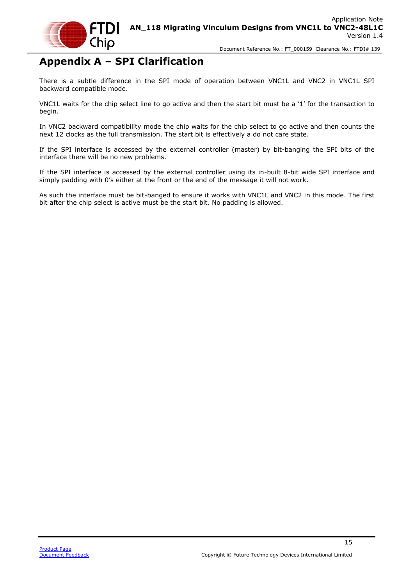

# <span id="page-15-0"></span>**Appendix A – SPI Clarification**

There is a subtle difference in the SPI mode of operation between VNC1L and VNC2 in VNC1L SPI backward compatible mode.

VNC1L waits for the chip select line to go active and then the start bit must be a '1' for the transaction to begin.

In VNC2 backward compatibility mode the chip waits for the chip select to go active and then counts the next 12 clocks as the full transmission. The start bit is effectively a do not care state.

If the SPI interface is accessed by the external controller (master) by bit-banging the SPI bits of the interface there will be no new problems.

If the SPI interface is accessed by the external controller using its in-built 8-bit wide SPI interface and simply padding with 0's either at the front or the end of the message it will not work.

As such the interface must be bit-banged to ensure it works with VNC1L and VNC2 in this mode. The first bit after the chip select is active must be the start bit. No padding is allowed.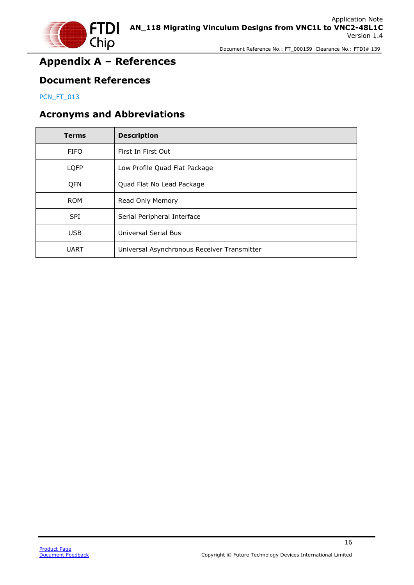

## <span id="page-16-0"></span>**Appendix A – References**

### <span id="page-16-1"></span>**Document References**

[PCN\\_FT\\_013](https://ftdichip.com/wp-content/uploads/2020/08/PCN_FT_013.pdf)

### <span id="page-16-2"></span>**Acronyms and Abbreviations**

| <b>Terms</b> | <b>Description</b>                          |
|--------------|---------------------------------------------|
| <b>FIFO</b>  | First In First Out                          |
| <b>LQFP</b>  | Low Profile Quad Flat Package               |
| QFN          | Quad Flat No Lead Package                   |
| <b>ROM</b>   | Read Only Memory                            |
| <b>SPI</b>   | Serial Peripheral Interface                 |
| <b>USB</b>   | <b>Universal Serial Bus</b>                 |
| <b>UART</b>  | Universal Asynchronous Receiver Transmitter |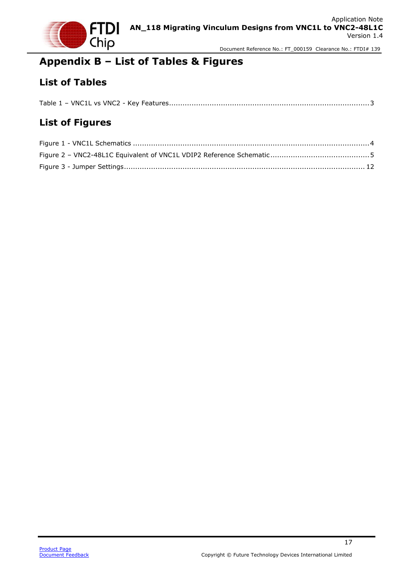

## <span id="page-17-0"></span>**Appendix B – List of Tables & Figures**

### <span id="page-17-1"></span>**List of Tables**

|--|--|

### <span id="page-17-2"></span>**List of Figures**